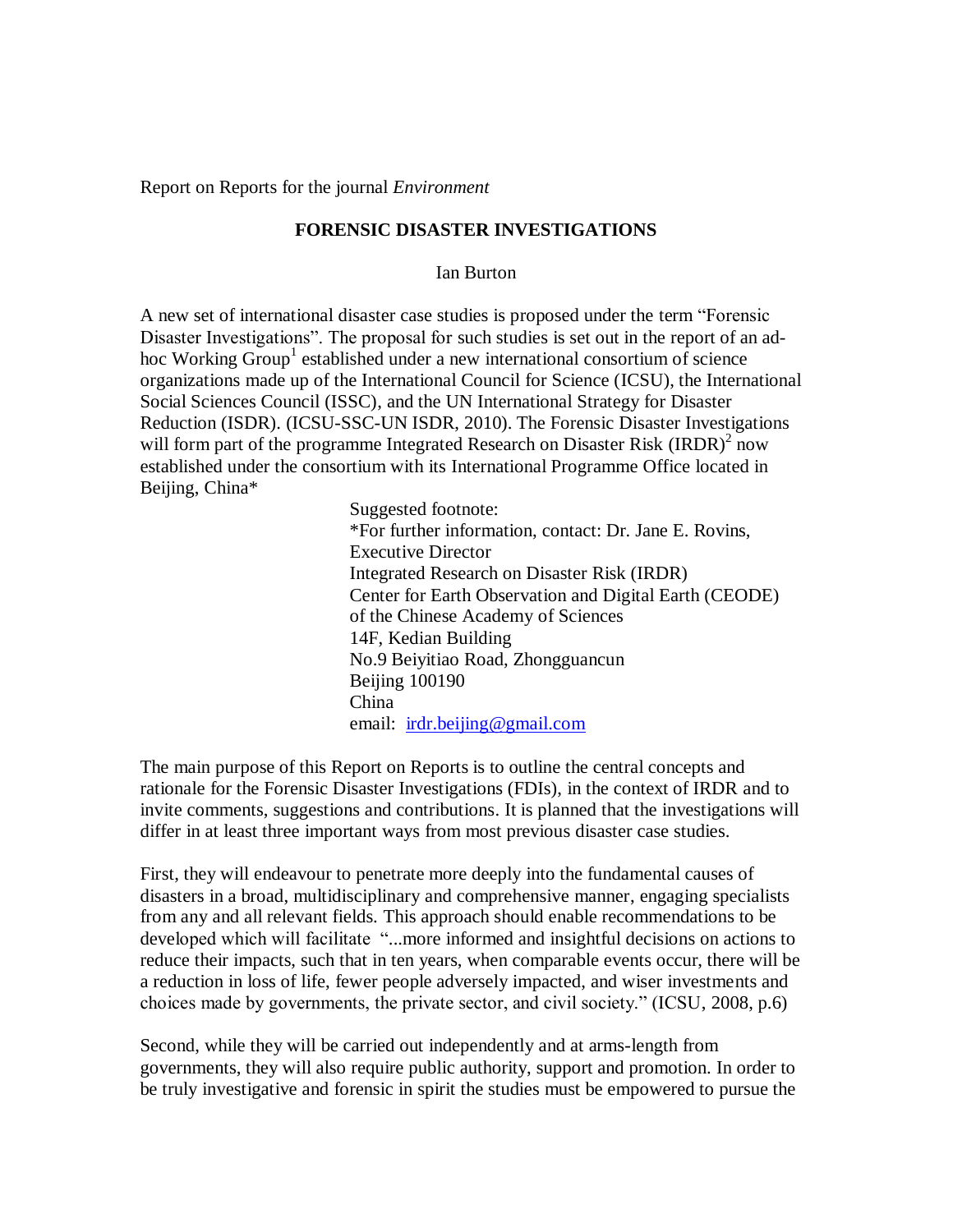Report on Reports for the journal *Environment*

## **FORENSIC DISASTER INVESTIGATIONS**

Ian Burton

A new set of international disaster case studies is proposed under the term "Forensic Disaster Investigations". The proposal for such studies is set out in the report of an adhoc Working Group<sup>1</sup> established under a new international consortium of science organizations made up of the International Council for Science (ICSU), the International Social Sciences Council (ISSC), and the UN International Strategy for Disaster Reduction (ISDR). (ICSU-SSC-UN ISDR, 2010). The Forensic Disaster Investigations will form part of the programme Integrated Research on Disaster Risk (IRDR) $2^{2}$  now established under the consortium with its International Programme Office located in Beijing, China\*

> Suggested footnote: \*For further information, contact: Dr. Jane E. Rovins, Executive Director Integrated Research on Disaster Risk (IRDR) Center for Earth Observation and Digital Earth (CEODE) of the Chinese Academy of Sciences 14F, Kedian Building No.9 Beiyitiao Road, Zhongguancun Beijing 100190 China email: [irdr.beijing@gmail.com](mailto:irdr.beijing@gmail.com)

The main purpose of this Report on Reports is to outline the central concepts and rationale for the Forensic Disaster Investigations (FDIs), in the context of IRDR and to invite comments, suggestions and contributions. It is planned that the investigations will differ in at least three important ways from most previous disaster case studies.

First, they will endeavour to penetrate more deeply into the fundamental causes of disasters in a broad, multidisciplinary and comprehensive manner, engaging specialists from any and all relevant fields. This approach should enable recommendations to be developed which will facilitate "...more informed and insightful decisions on actions to reduce their impacts, such that in ten years, when comparable events occur, there will be a reduction in loss of life, fewer people adversely impacted, and wiser investments and choices made by governments, the private sector, and civil society." (ICSU, 2008, p.6)

Second, while they will be carried out independently and at arms-length from governments, they will also require public authority, support and promotion. In order to be truly investigative and forensic in spirit the studies must be empowered to pursue the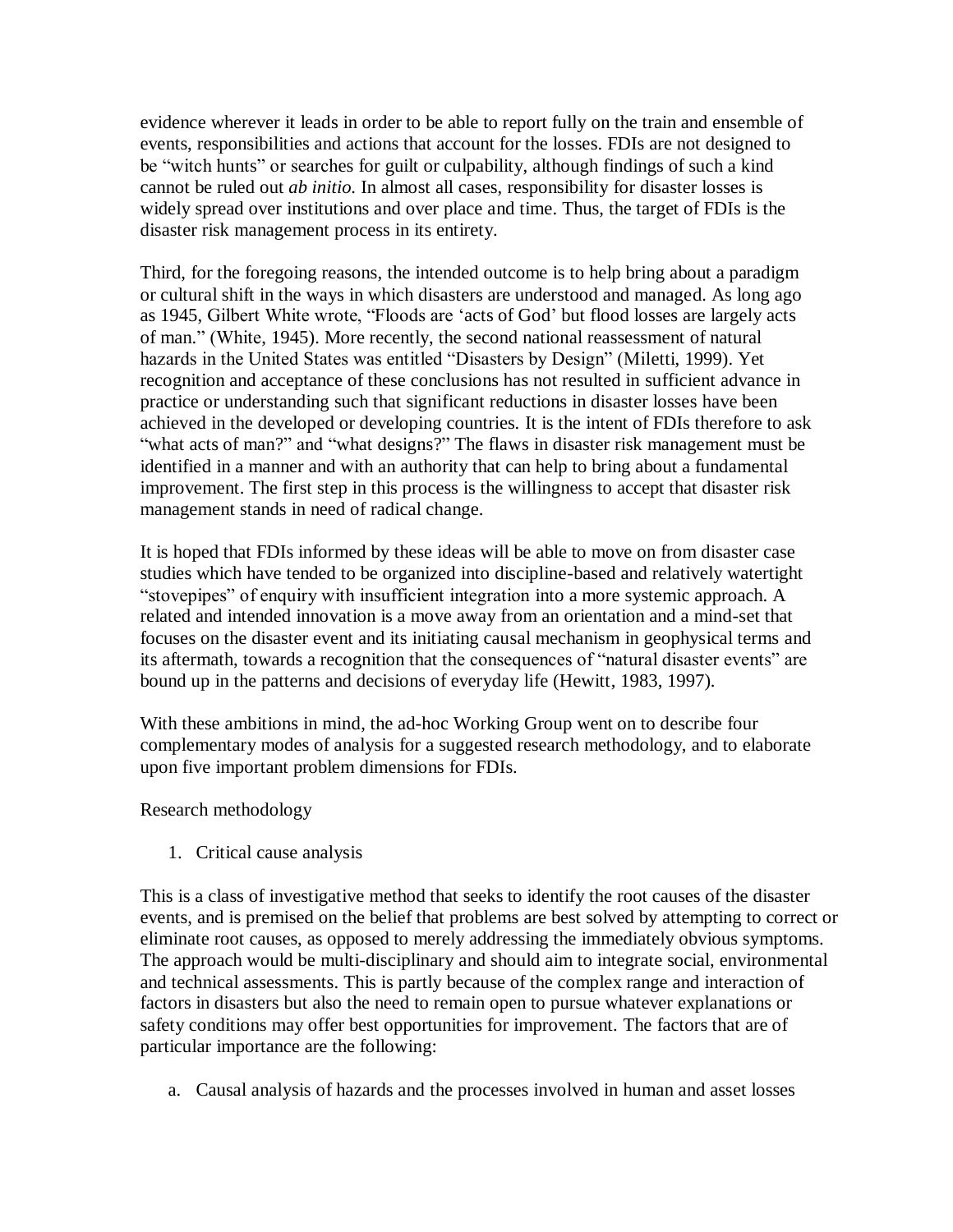evidence wherever it leads in order to be able to report fully on the train and ensemble of events, responsibilities and actions that account for the losses. FDIs are not designed to be "witch hunts" or searches for guilt or culpability, although findings of such a kind cannot be ruled out *ab initio.* In almost all cases, responsibility for disaster losses is widely spread over institutions and over place and time. Thus, the target of FDIs is the disaster risk management process in its entirety.

Third, for the foregoing reasons, the intended outcome is to help bring about a paradigm or cultural shift in the ways in which disasters are understood and managed. As long ago as 1945, Gilbert White wrote, "Floods are "acts of God" but flood losses are largely acts of man." (White, 1945). More recently, the second national reassessment of natural hazards in the United States was entitled "Disasters by Design" (Miletti, 1999). Yet recognition and acceptance of these conclusions has not resulted in sufficient advance in practice or understanding such that significant reductions in disaster losses have been achieved in the developed or developing countries. It is the intent of FDIs therefore to ask "what acts of man?" and "what designs?" The flaws in disaster risk management must be identified in a manner and with an authority that can help to bring about a fundamental improvement. The first step in this process is the willingness to accept that disaster risk management stands in need of radical change.

It is hoped that FDIs informed by these ideas will be able to move on from disaster case studies which have tended to be organized into discipline-based and relatively watertight "stovepipes" of enquiry with insufficient integration into a more systemic approach. A related and intended innovation is a move away from an orientation and a mind-set that focuses on the disaster event and its initiating causal mechanism in geophysical terms and its aftermath, towards a recognition that the consequences of "natural disaster events" are bound up in the patterns and decisions of everyday life (Hewitt, 1983, 1997).

With these ambitions in mind, the ad-hoc Working Group went on to describe four complementary modes of analysis for a suggested research methodology, and to elaborate upon five important problem dimensions for FDIs.

Research methodology

1. Critical cause analysis

This is a class of investigative method that seeks to identify the root causes of the disaster events, and is premised on the belief that problems are best solved by attempting to correct or eliminate root causes, as opposed to merely addressing the immediately obvious symptoms. The approach would be multi-disciplinary and should aim to integrate social, environmental and technical assessments. This is partly because of the complex range and interaction of factors in disasters but also the need to remain open to pursue whatever explanations or safety conditions may offer best opportunities for improvement. The factors that are of particular importance are the following:

a. Causal analysis of hazards and the processes involved in human and asset losses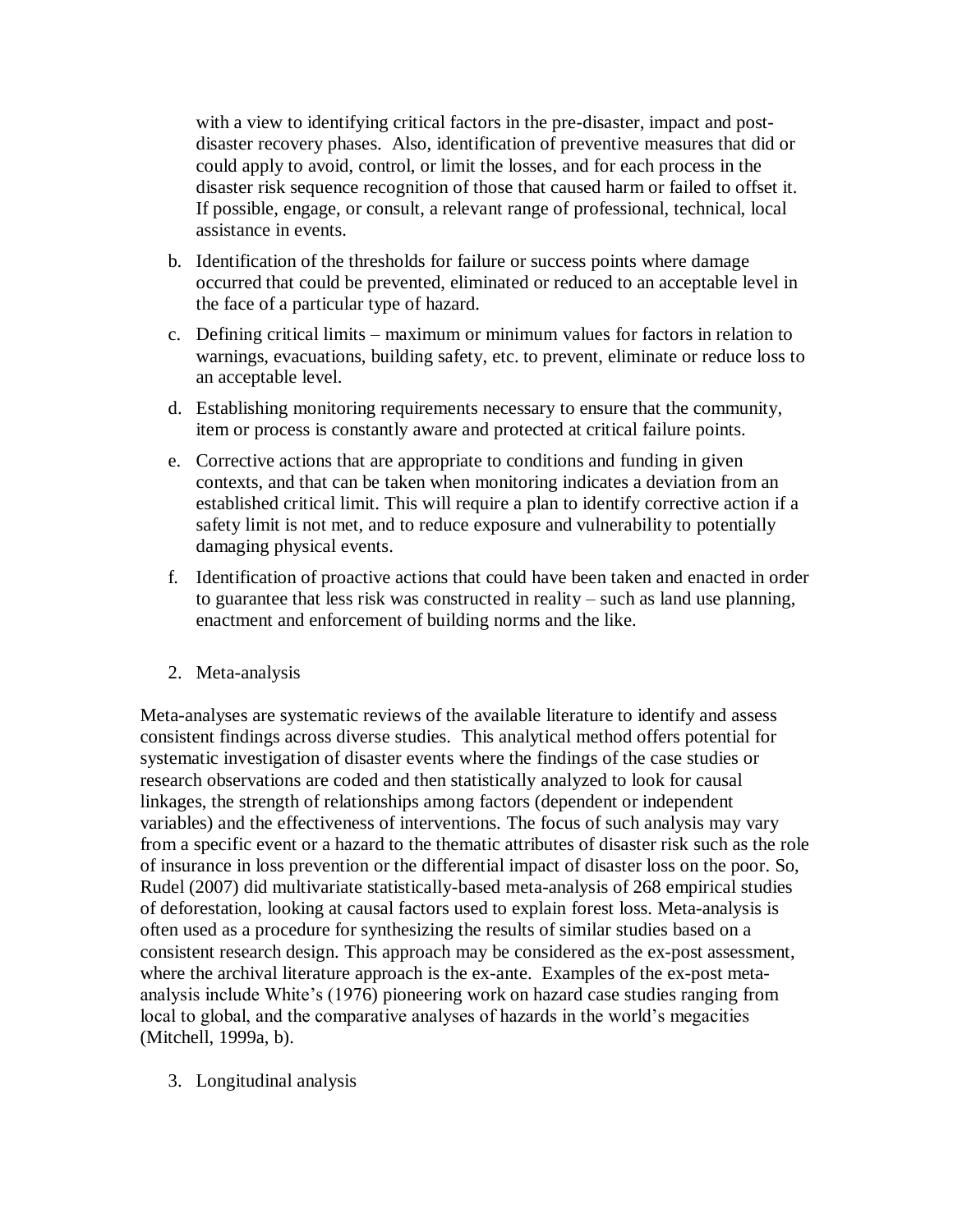with a view to identifying critical factors in the pre-disaster, impact and postdisaster recovery phases. Also, identification of preventive measures that did or could apply to avoid, control, or limit the losses, and for each process in the disaster risk sequence recognition of those that caused harm or failed to offset it. If possible, engage, or consult, a relevant range of professional, technical, local assistance in events.

- b. Identification of the thresholds for failure or success points where damage occurred that could be prevented, eliminated or reduced to an acceptable level in the face of a particular type of hazard.
- c. Defining critical limits maximum or minimum values for factors in relation to warnings, evacuations, building safety, etc. to prevent, eliminate or reduce loss to an acceptable level.
- d. Establishing monitoring requirements necessary to ensure that the community, item or process is constantly aware and protected at critical failure points.
- e. Corrective actions that are appropriate to conditions and funding in given contexts, and that can be taken when monitoring indicates a deviation from an established critical limit. This will require a plan to identify corrective action if a safety limit is not met, and to reduce exposure and vulnerability to potentially damaging physical events.
- f. Identification of proactive actions that could have been taken and enacted in order to guarantee that less risk was constructed in reality – such as land use planning, enactment and enforcement of building norms and the like.
- 2. Meta-analysis

Meta-analyses are systematic reviews of the available literature to identify and assess consistent findings across diverse studies. This analytical method offers potential for systematic investigation of disaster events where the findings of the case studies or research observations are coded and then statistically analyzed to look for causal linkages, the strength of relationships among factors (dependent or independent variables) and the effectiveness of interventions. The focus of such analysis may vary from a specific event or a hazard to the thematic attributes of disaster risk such as the role of insurance in loss prevention or the differential impact of disaster loss on the poor. So, Rudel (2007) did multivariate statistically-based meta-analysis of 268 empirical studies of deforestation, looking at causal factors used to explain forest loss. Meta-analysis is often used as a procedure for synthesizing the results of similar studies based on a consistent research design. This approach may be considered as the ex-post assessment, where the archival literature approach is the ex-ante. Examples of the ex-post metaanalysis include White"s (1976) pioneering work on hazard case studies ranging from local to global, and the comparative analyses of hazards in the world's megacities (Mitchell, 1999a, b).

3. Longitudinal analysis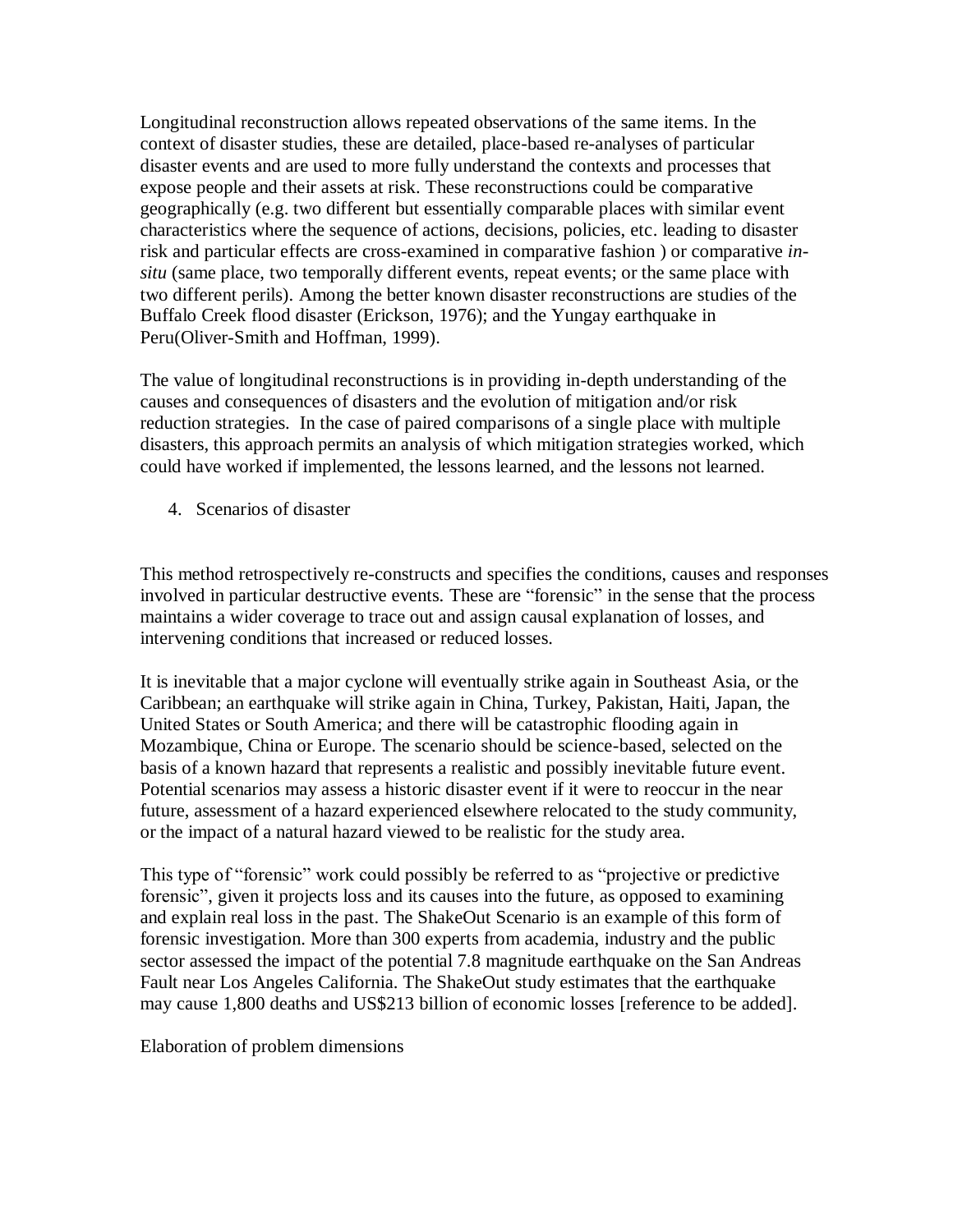Longitudinal reconstruction allows repeated observations of the same items. In the context of disaster studies, these are detailed, place-based re-analyses of particular disaster events and are used to more fully understand the contexts and processes that expose people and their assets at risk. These reconstructions could be comparative geographically (e.g. two different but essentially comparable places with similar event characteristics where the sequence of actions, decisions, policies, etc. leading to disaster risk and particular effects are cross-examined in comparative fashion ) or comparative *insitu* (same place, two temporally different events, repeat events; or the same place with two different perils). Among the better known disaster reconstructions are studies of the Buffalo Creek flood disaster (Erickson, 1976); and the Yungay earthquake in Peru(Oliver-Smith and Hoffman, 1999).

The value of longitudinal reconstructions is in providing in-depth understanding of the causes and consequences of disasters and the evolution of mitigation and/or risk reduction strategies. In the case of paired comparisons of a single place with multiple disasters, this approach permits an analysis of which mitigation strategies worked, which could have worked if implemented, the lessons learned, and the lessons not learned.

4. Scenarios of disaster

This method retrospectively re-constructs and specifies the conditions, causes and responses involved in particular destructive events. These are "forensic" in the sense that the process maintains a wider coverage to trace out and assign causal explanation of losses, and intervening conditions that increased or reduced losses.

It is inevitable that a major cyclone will eventually strike again in Southeast Asia, or the Caribbean; an earthquake will strike again in China, Turkey, Pakistan, Haiti, Japan, the United States or South America; and there will be catastrophic flooding again in Mozambique, China or Europe. The scenario should be science-based, selected on the basis of a known hazard that represents a realistic and possibly inevitable future event. Potential scenarios may assess a historic disaster event if it were to reoccur in the near future, assessment of a hazard experienced elsewhere relocated to the study community, or the impact of a natural hazard viewed to be realistic for the study area.

This type of "forensic" work could possibly be referred to as "projective or predictive forensic", given it projects loss and its causes into the future, as opposed to examining and explain real loss in the past. The ShakeOut Scenario is an example of this form of forensic investigation. More than 300 experts from academia, industry and the public sector assessed the impact of the potential 7.8 magnitude earthquake on the San Andreas Fault near Los Angeles California. The ShakeOut study estimates that the earthquake may cause 1,800 deaths and US\$213 billion of economic losses [reference to be added].

Elaboration of problem dimensions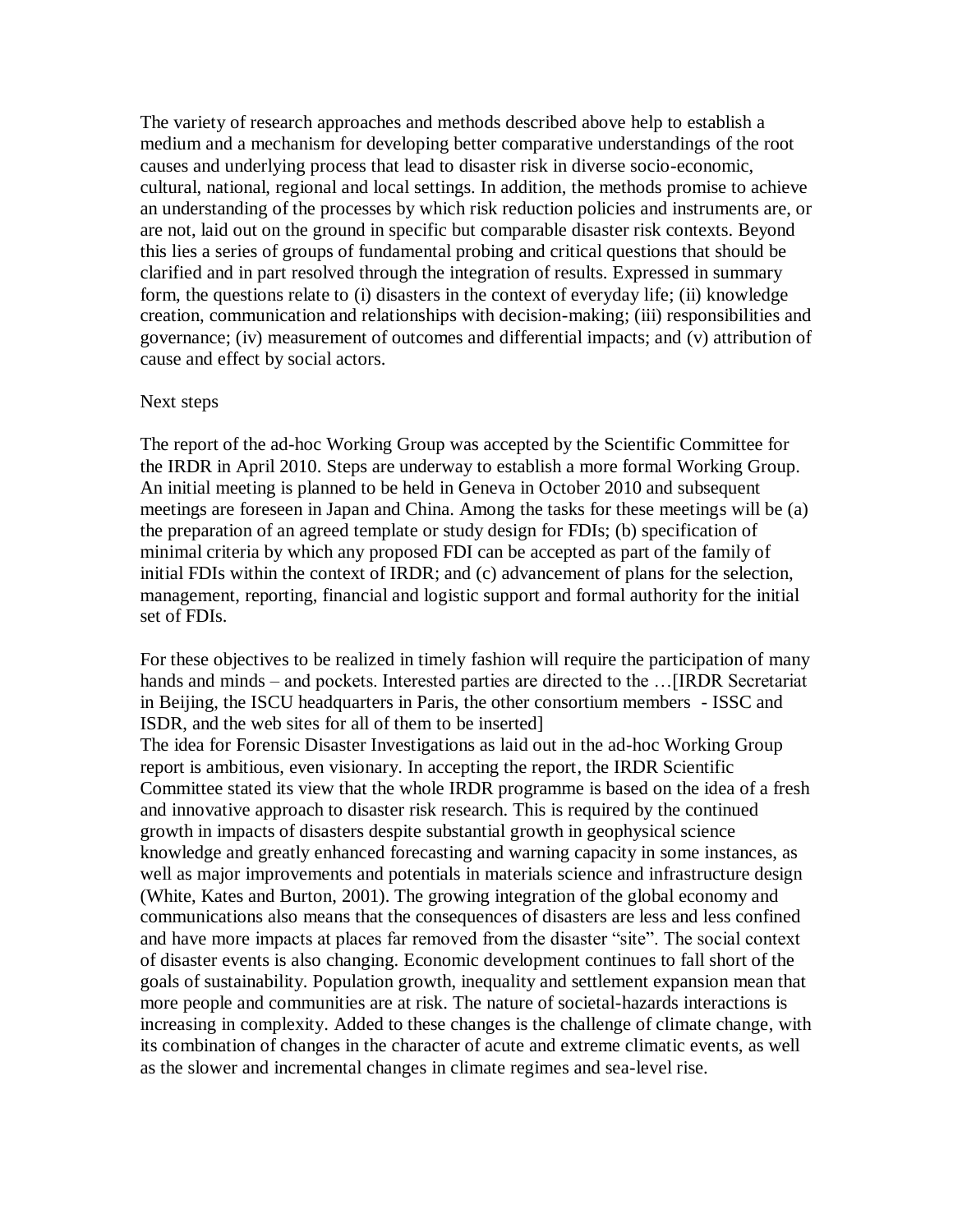The variety of research approaches and methods described above help to establish a medium and a mechanism for developing better comparative understandings of the root causes and underlying process that lead to disaster risk in diverse socio-economic, cultural, national, regional and local settings. In addition, the methods promise to achieve an understanding of the processes by which risk reduction policies and instruments are, or are not, laid out on the ground in specific but comparable disaster risk contexts. Beyond this lies a series of groups of fundamental probing and critical questions that should be clarified and in part resolved through the integration of results. Expressed in summary form, the questions relate to (i) disasters in the context of everyday life; (ii) knowledge creation, communication and relationships with decision-making; (iii) responsibilities and governance; (iv) measurement of outcomes and differential impacts; and (v) attribution of cause and effect by social actors.

## Next steps

The report of the ad-hoc Working Group was accepted by the Scientific Committee for the IRDR in April 2010. Steps are underway to establish a more formal Working Group. An initial meeting is planned to be held in Geneva in October 2010 and subsequent meetings are foreseen in Japan and China. Among the tasks for these meetings will be (a) the preparation of an agreed template or study design for FDIs; (b) specification of minimal criteria by which any proposed FDI can be accepted as part of the family of initial FDIs within the context of IRDR; and (c) advancement of plans for the selection, management, reporting, financial and logistic support and formal authority for the initial set of FDIs.

For these objectives to be realized in timely fashion will require the participation of many hands and minds – and pockets. Interested parties are directed to the ... [IRDR Secretariat in Beijing, the ISCU headquarters in Paris, the other consortium members - ISSC and ISDR, and the web sites for all of them to be inserted] The idea for Forensic Disaster Investigations as laid out in the ad-hoc Working Group report is ambitious, even visionary. In accepting the report, the IRDR Scientific Committee stated its view that the whole IRDR programme is based on the idea of a fresh and innovative approach to disaster risk research. This is required by the continued growth in impacts of disasters despite substantial growth in geophysical science knowledge and greatly enhanced forecasting and warning capacity in some instances, as well as major improvements and potentials in materials science and infrastructure design (White, Kates and Burton, 2001). The growing integration of the global economy and communications also means that the consequences of disasters are less and less confined

and have more impacts at places far removed from the disaster "site". The social context of disaster events is also changing. Economic development continues to fall short of the goals of sustainability. Population growth, inequality and settlement expansion mean that more people and communities are at risk. The nature of societal-hazards interactions is increasing in complexity. Added to these changes is the challenge of climate change, with its combination of changes in the character of acute and extreme climatic events, as well as the slower and incremental changes in climate regimes and sea-level rise.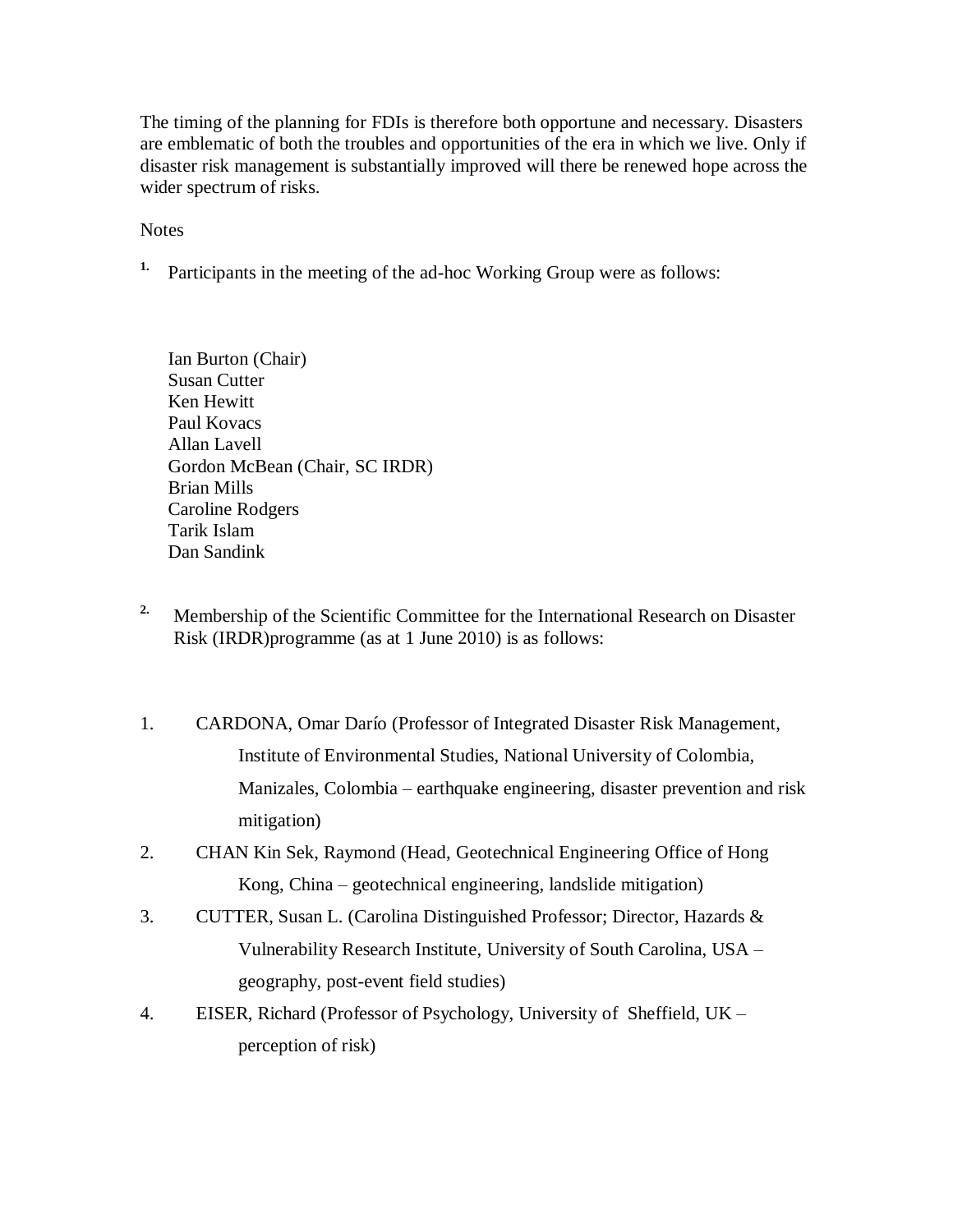The timing of the planning for FDIs is therefore both opportune and necessary. Disasters are emblematic of both the troubles and opportunities of the era in which we live. Only if disaster risk management is substantially improved will there be renewed hope across the wider spectrum of risks.

**Notes** 

**1.** Participants in the meeting of the ad-hoc Working Group were as follows:

Ian Burton (Chair) Susan Cutter Ken Hewitt Paul Kovacs Allan Lavell Gordon McBean (Chair, SC IRDR) Brian Mills Caroline Rodgers Tarik Islam Dan Sandink

- <sup>2.</sup> Membership of the Scientific Committee for the International Research on Disaster Risk (IRDR)programme (as at 1 June 2010) is as follows:
- 1. CARDONA, Omar Darío (Professor of Integrated Disaster Risk Management, Institute of Environmental Studies, National University of Colombia, Manizales, Colombia – earthquake engineering, disaster prevention and risk mitigation)
- 2. CHAN Kin Sek, Raymond (Head, Geotechnical Engineering Office of Hong Kong, China – geotechnical engineering, landslide mitigation)
- 3. CUTTER, Susan L. (Carolina Distinguished Professor; Director, Hazards & Vulnerability Research Institute, University of South Carolina, USA – geography, post-event field studies)
- 4. EISER, Richard (Professor of Psychology, University of Sheffield, UK perception of risk)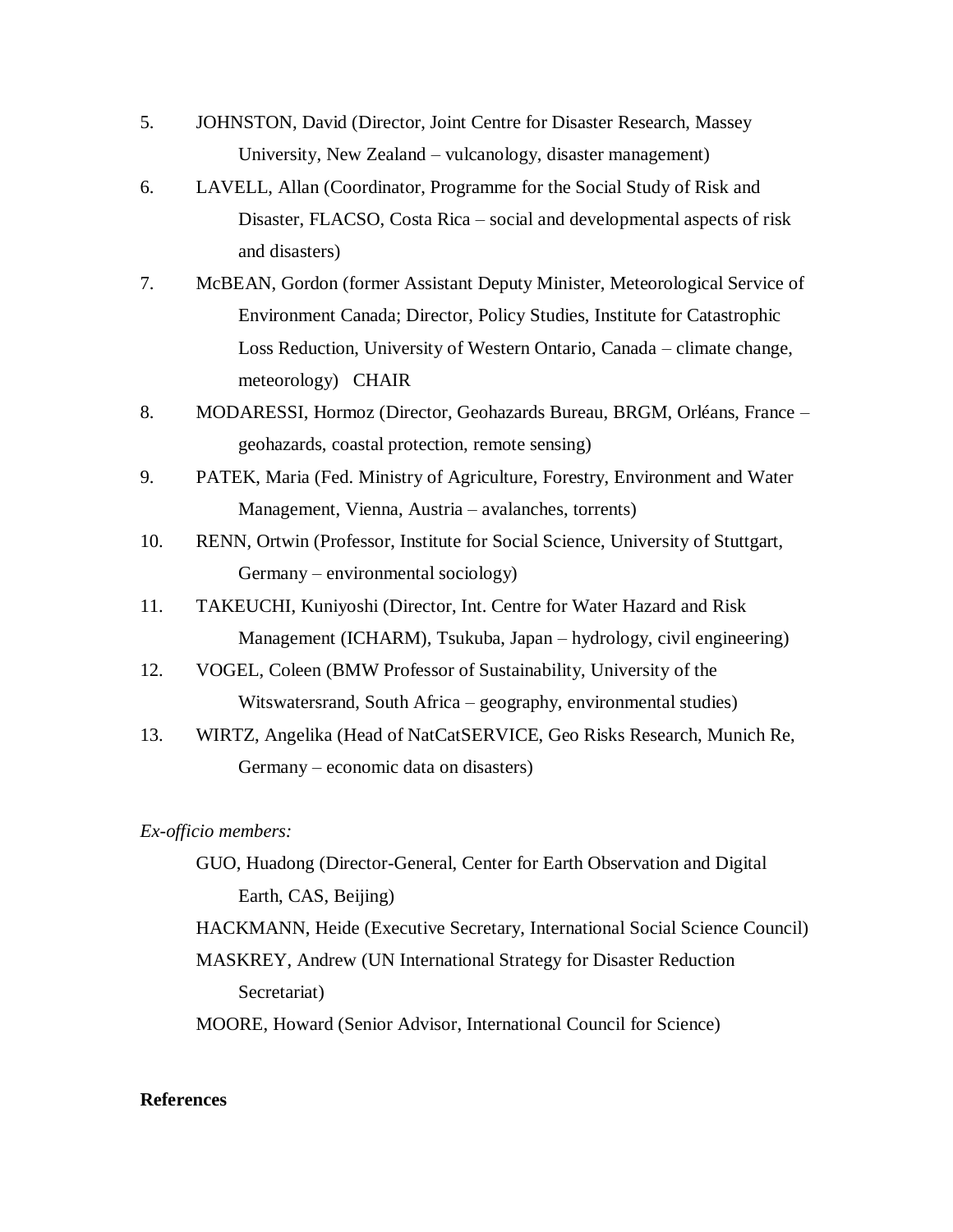- 5. JOHNSTON, David (Director, Joint Centre for Disaster Research, Massey University, New Zealand – vulcanology, disaster management)
- 6. LAVELL, Allan (Coordinator, Programme for the Social Study of Risk and Disaster, FLACSO, Costa Rica – social and developmental aspects of risk and disasters)
- 7. McBEAN, Gordon (former Assistant Deputy Minister, Meteorological Service of Environment Canada; Director, Policy Studies, Institute for Catastrophic Loss Reduction, University of Western Ontario, Canada – climate change, meteorology) CHAIR
- 8. MODARESSI, Hormoz (Director, Geohazards Bureau, BRGM, Orléans, France geohazards, coastal protection, remote sensing)
- 9. PATEK, Maria (Fed. Ministry of Agriculture, Forestry, Environment and Water Management, Vienna, Austria – avalanches, torrents)
- 10. RENN, Ortwin (Professor, Institute for Social Science, University of Stuttgart, Germany – environmental sociology)
- 11. TAKEUCHI, Kuniyoshi (Director, Int. Centre for Water Hazard and Risk Management (ICHARM), Tsukuba, Japan – hydrology, civil engineering)
- 12. VOGEL, Coleen (BMW Professor of Sustainability, University of the Witswatersrand, South Africa – geography, environmental studies)
- 13. WIRTZ, Angelika (Head of NatCatSERVICE, Geo Risks Research, Munich Re, Germany – economic data on disasters)

## *Ex-officio members:*

GUO, Huadong (Director-General, Center for Earth Observation and Digital Earth, CAS, Beijing)

HACKMANN, Heide (Executive Secretary, International Social Science Council) MASKREY, Andrew (UN International Strategy for Disaster Reduction

Secretariat)

MOORE, Howard (Senior Advisor, International Council for Science)

## **References**